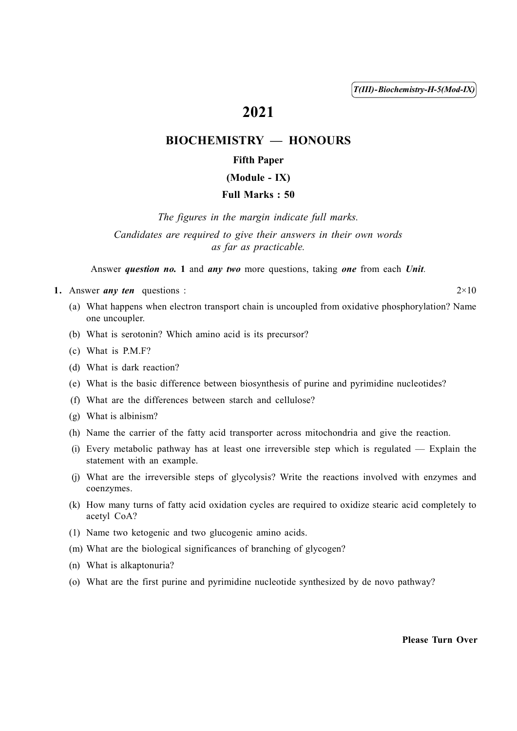T(III)-Biochemistry-H-5(Mod-IX)

# 2021

# BIOCHEMISTRY — HONOURS

## Fifth Paper

## (Module - IX)

## Full Marks : 50

The figures in the margin indicate full marks.

Candidates are required to give their answers in their own words as far as practicable.

Answer question no. 1 and any two more questions, taking one from each Unit.

1. Answer *any ten* questions :  $2 \times 10$ 

- (a) What happens when electron transport chain is uncoupled from oxidative phosphorylation? Name one uncoupler.
- (b) What is serotonin? Which amino acid is its precursor?
- (c) What is P.M.F?
- (d) What is dark reaction?
- (e) What is the basic difference between biosynthesis of purine and pyrimidine nucleotides?
- (f) What are the differences between starch and cellulose?
- (g) What is albinism?
- (h) Name the carrier of the fatty acid transporter across mitochondria and give the reaction.
- (i) Every metabolic pathway has at least one irreversible step which is regulated Explain the statement with an example.
- (j) What are the irreversible steps of glycolysis? Write the reactions involved with enzymes and coenzymes.
- (k) How many turns of fatty acid oxidation cycles are required to oxidize stearic acid completely to acetyl CoA?
- (1) Name two ketogenic and two glucogenic amino acids.
- (m) What are the biological significances of branching of glycogen?
- (n) What is alkaptonuria?
- (o) What are the first purine and pyrimidine nucleotide synthesized by de novo pathway?